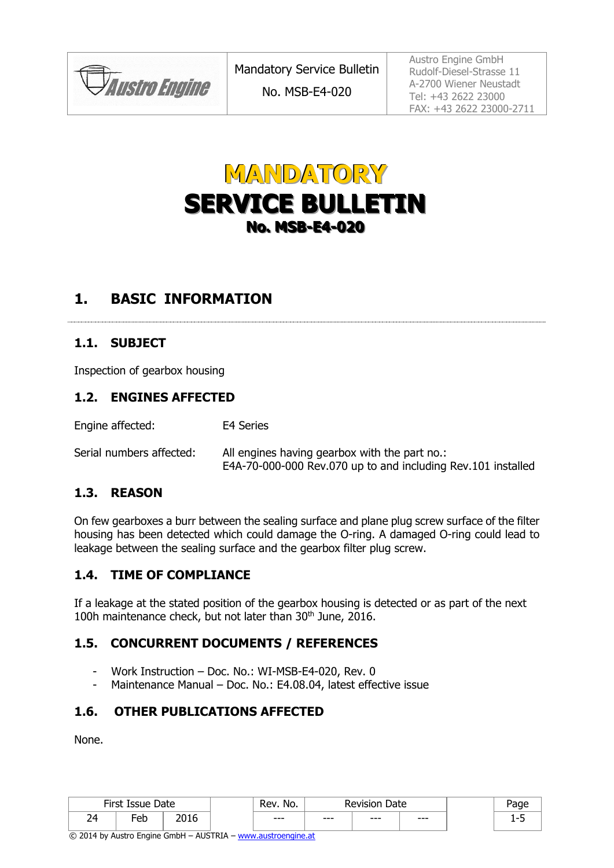**JAustro Engine** 

Austro Engine GmbH Rudolf-Diesel-Strasse 11 A-2700 Wiener Neustadt Tel: +43 2622 23000 FAX: +43 2622 23000-2711



# **1. BASIC INFORMATION**

#### **1.1. SUBJECT**

Inspection of gearbox housing

#### **1.2. ENGINES AFFECTED**

Engine affected: E4 Series

Serial numbers affected: All engines having gearbox with the part no.: E4A-70-000-000 Rev.070 up to and including Rev.101 installed

#### **1.3. REASON**

On few gearboxes a burr between the sealing surface and plane plug screw surface of the filter housing has been detected which could damage the O-ring. A damaged O-ring could lead to leakage between the sealing surface and the gearbox filter plug screw.

#### **1.4. TIME OF COMPLIANCE**

If a leakage at the stated position of the gearbox housing is detected or as part of the next 100h maintenance check, but not later than 30<sup>th</sup> June, 2016.

#### **1.5. CONCURRENT DOCUMENTS / REFERENCES**

- Work Instruction Doc. No.: WI-MSB-E4-020, Rev. 0
- Maintenance Manual Doc. No.: E4.08.04, latest effective issue

#### **1.6. OTHER PUBLICATIONS AFFECTED**

None.

|    | $Eirct$ Ic<br>Issue<br>11 D.C | Date                | Rev. No. | Date<br>Revision |      | dud     |  |
|----|-------------------------------|---------------------|----------|------------------|------|---------|--|
| 24 | -eb                           | <b>DO16</b><br>∠∪⊥∪ | $--$     | $--$             | $--$ | $- - -$ |  |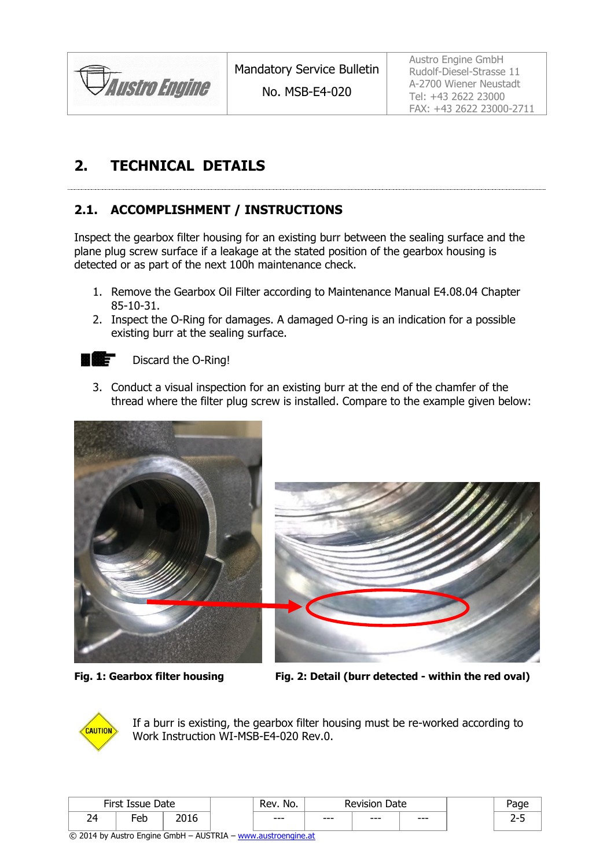

Austro Engine GmbH Rudolf-Diesel-Strasse 11 A-2700 Wiener Neustadt Tel: +43 2622 23000 FAX: +43 2622 23000-2711

# **2. TECHNICAL DETAILS**

## <span id="page-1-0"></span>**2.1. ACCOMPLISHMENT / INSTRUCTIONS**

Inspect the gearbox filter housing for an existing burr between the sealing surface and the plane plug screw surface if a leakage at the stated position of the gearbox housing is detected or as part of the next 100h maintenance check.

- 1. Remove the Gearbox Oil Filter according to Maintenance Manual E4.08.04 Chapter 85-10-31.
- 2. Inspect the O-Ring for damages. A damaged O-ring is an indication for a possible existing burr at the sealing surface.

Discard the O-Ring! Е

и

3. Conduct a visual inspection for an existing burr at the end of the chamfer of the thread where the filter plug screw is installed. Compare to the example given below:





**Fig. 1: Gearbox filter housing Fig. 2: Detail (burr detected - within the red oval)**



If a burr is existing, the gearbox filter housing must be re-worked according to Work Instruction WI-MSB-E4-020 Rev.0.

|    | First Is<br>Issue | Date        | No.<br>Revision<br>Rev |      | Date |      | 'age |          |
|----|-------------------|-------------|------------------------|------|------|------|------|----------|
| 14 | -<br>−or<br>◡     | nn.<br>∠∪⊥∪ |                        | $--$ | $--$ | $--$ | $--$ | <u>.</u> |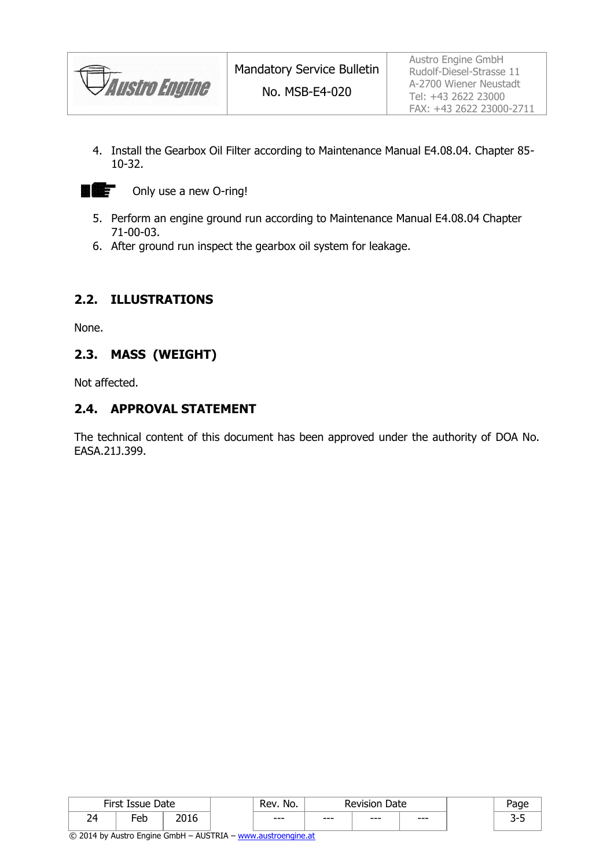*Austro Engine* 

4. Install the Gearbox Oil Filter according to Maintenance Manual E4.08.04. Chapter 85- 10-32.



- 5. Perform an engine ground run according to Maintenance Manual E4.08.04 Chapter 71-00-03.
- 6. After ground run inspect the gearbox oil system for leakage.

### **2.2. ILLUSTRATIONS**

None.

#### **2.3. MASS (WEIGHT)**

Not affected.

#### **2.4. APPROVAL STATEMENT**

The technical content of this document has been approved under the authority of DOA No. EASA.21J.399.

|           | First Is<br>Date<br>Í SSI IA<br>---- |                      | -<br>No.<br>₹ev | Date<br>Revision |      |      |   |
|-----------|--------------------------------------|----------------------|-----------------|------------------|------|------|---|
| 24<br>. . | -<br>eb                              | ∍ ∩חר<br><b>ZUID</b> | $--$            | $--$             | $--$ | $--$ | ـ |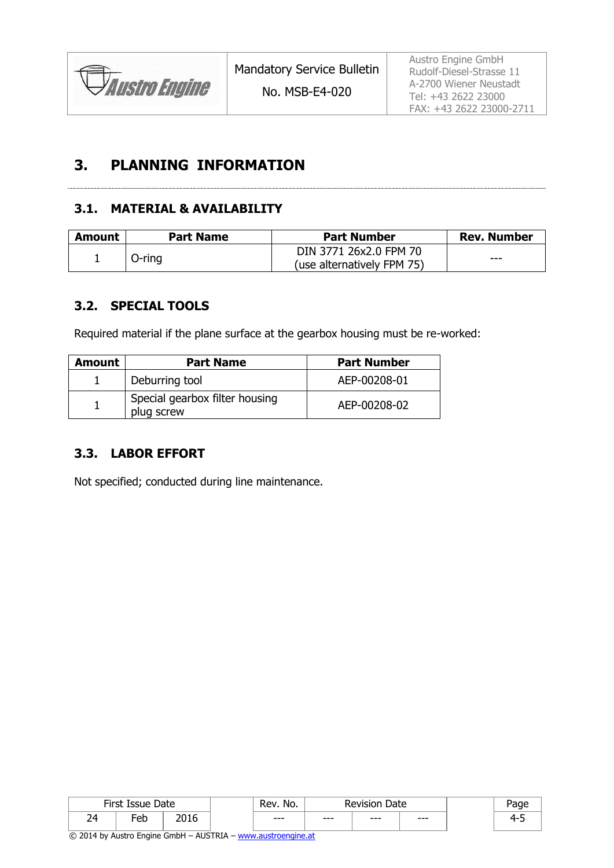Austro Engine GmbH Rudolf-Diesel-Strasse 11 A-2700 Wiener Neustadt Tel: +43 2622 23000 FAX: +43 2622 23000-2711

# **3. PLANNING INFORMATION**

#### **3.1. MATERIAL & AVAILABILITY**

| Amount | <b>Part Name</b> | <b>Part Number</b>         | <b>Rev. Number</b> |  |
|--------|------------------|----------------------------|--------------------|--|
|        |                  | DIN 3771 26x2.0 FPM 70     | ---                |  |
|        | $O$ -ring        | (use alternatively FPM 75) |                    |  |

#### **3.2. SPECIAL TOOLS**

Required material if the plane surface at the gearbox housing must be re-worked:

| Amount | <b>Part Name</b>                             | <b>Part Number</b> |
|--------|----------------------------------------------|--------------------|
|        | Deburring tool                               | AEP-00208-01       |
|        | Special gearbox filter housing<br>plug screw | AEP-00208-02       |

### **3.3. LABOR EFFORT**

Not specified; conducted during line maintenance.

|    | $Eire+I$<br>Date<br><b>Issue</b><br>11 SL |      | No.<br>kev | Date<br>≷evision |      |       | Jane            |
|----|-------------------------------------------|------|------------|------------------|------|-------|-----------------|
| 24 | -<br>eb                                   | ∸∪∸∨ | $--$       | $--$             | $--$ | $---$ | <b>. .</b><br>ـ |